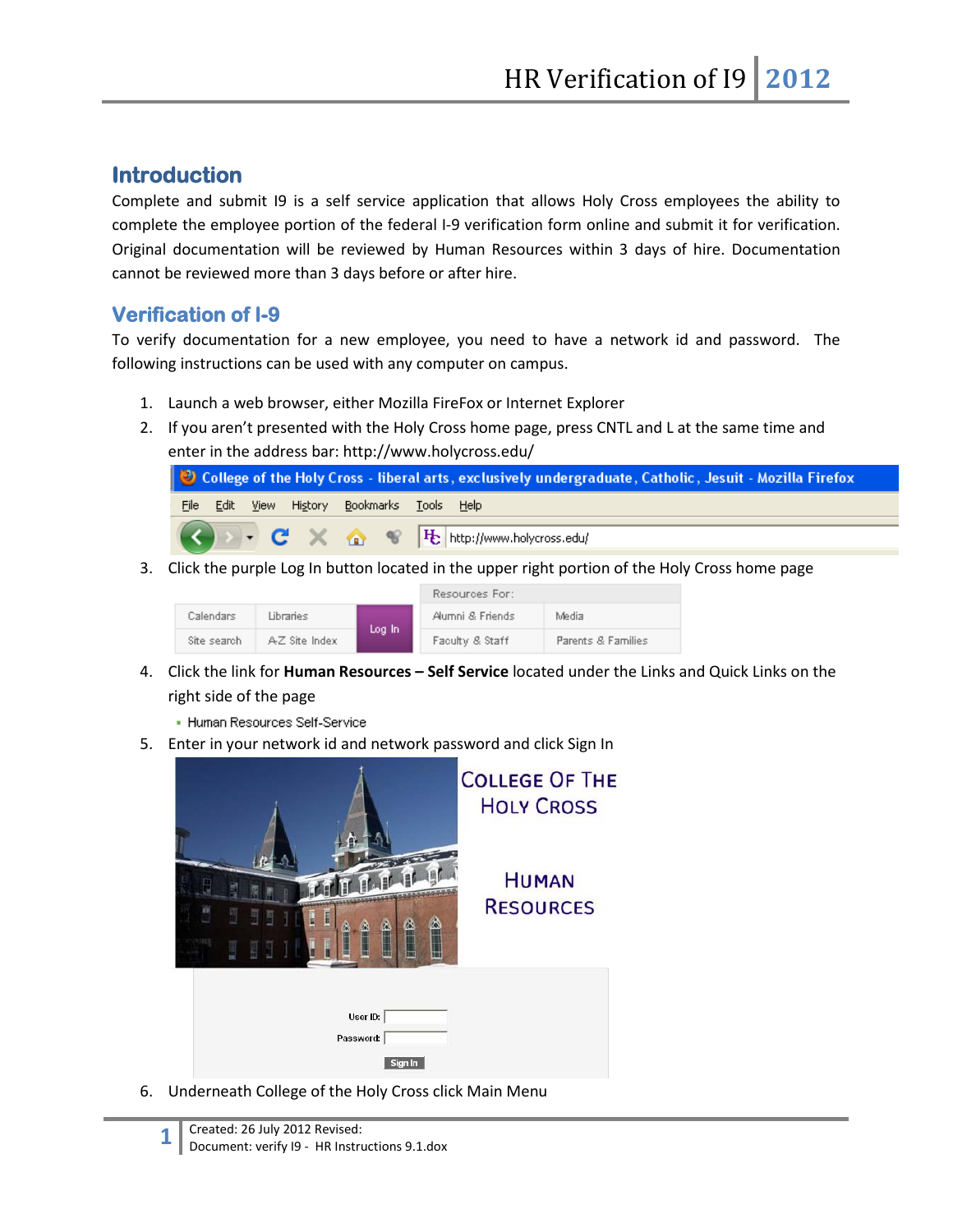## **Introduction**

Complete and submit I9 is a self service application that allows Holy Cross employees the ability to complete the employee portion of the federal I-9 verification form online and submit it for verification. Original documentation will be reviewed by Human Resources within 3 days of hire. Documentation cannot be reviewed more than 3 days before or after hire.

## **Verification of I-9**

To verify documentation for a new employee, you need to have a network id and password. The following instructions can be used with any computer on campus.

- 1. Launch a web browser, either Mozilla FireFox or Internet Explorer
- 2. If you aren't presented with the Holy Cross home page, press CNTL and L at the same time and enter in the address bar: http://www.holycross.edu/

| College of the Holy Cross - liberal arts, exclusively undergraduate, Catholic, Jesuit - Mozilla Firefox |  |  |  |  |  |  |
|---------------------------------------------------------------------------------------------------------|--|--|--|--|--|--|
| File Edit View History Bookmarks Tools Help                                                             |  |  |  |  |  |  |
| <b>C</b> × <del>△</del> · <b>F</b> http://www.holycross.edu/                                            |  |  |  |  |  |  |

3. Click the purple Log In button located in the upper right portion of the Holy Cross home page

|             |               |        | Resources For:   |                    |  |
|-------------|---------------|--------|------------------|--------------------|--|
| Calendars   | Libraries     | Log In | Alumni & Friends | Media              |  |
| Site search | AZ Site Index |        | Faculty & Staff  | Parents & Families |  |

- 4. Click the link for **Human Resources – Self Service** located under the Links and Quick Links on the right side of the page
	- Human Resources Self-Service
- 5. Enter in your network id and network password and click Sign In



6. Underneath College of the Holy Cross click Main Menu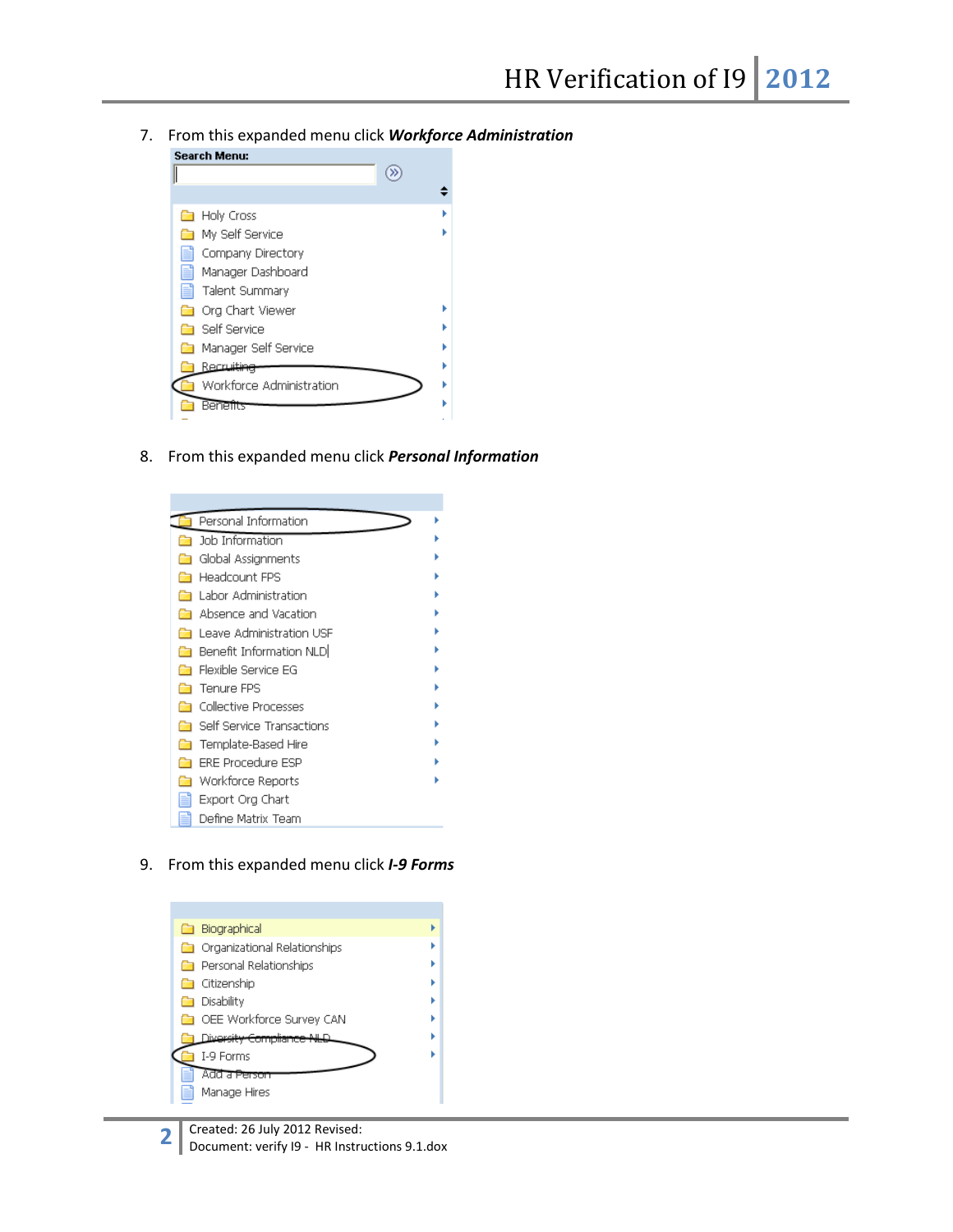7. From this expanded menu click *Workforce Administration*



8. From this expanded menu click *Personal Information*



9. From this expanded menu click *I-9 Forms*

| <b>Biographical</b>                   |  |
|---------------------------------------|--|
| <b>C</b> Organizational Relationships |  |
| Personal Relationships                |  |
| ] Citizenship                         |  |
| Disability                            |  |
| OEE Workforce Survey CAN              |  |
| iwersit <del>y Compliance I</del>     |  |
| I-9 Forms                             |  |
| Add a Person                          |  |
| Manage Hires                          |  |
|                                       |  |